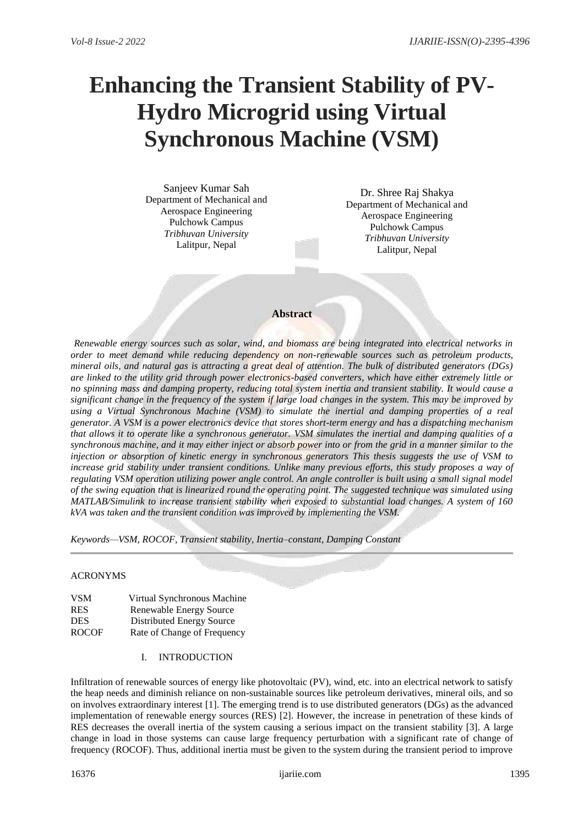# **Enhancing the Transient Stability of PV-Hydro Microgrid using Virtual Synchronous Machine (VSM)**

Sanjeev Kumar Sah Department of Mechanical and Aerospace Engineering Pulchowk Campus *Tribhuvan University* Lalitpur, Nepal

Dr. Shree Raj Shakya Department of Mechanical and Aerospace Engineering Pulchowk Campus *Tribhuvan University* Lalitpur, Nepal

# **Abstract**

*Renewable energy sources such as solar, wind, and biomass are being integrated into electrical networks in order to meet demand while reducing dependency on non-renewable sources such as petroleum products, mineral oils, and natural gas is attracting a great deal of attention. The bulk of distributed generators (DGs) are linked to the utility grid through power electronics-based converters, which have either extremely little or no spinning mass and damping property, reducing total system inertia and transient stability. It would cause a significant change in the frequency of the system if large load changes in the system. This may be improved by using a Virtual Synchronous Machine (VSM) to simulate the inertial and damping properties of a real generator. A VSM is a power electronics device that stores short-term energy and has a dispatching mechanism that allows it to operate like a synchronous generator. VSM simulates the inertial and damping qualities of a synchronous machine, and it may either inject or absorb power into or from the grid in a manner similar to the injection or absorption of kinetic energy in synchronous generators This thesis suggests the use of VSM to*  increase grid stability under transient conditions. Unlike many previous efforts, this study proposes a way of *regulating VSM operation utilizing power angle control. An angle controller is built using a small signal model of the swing equation that is linearized round the operating point. The suggested technique was simulated using MATLAB/Simulink to increase transient stability when exposed to substantial load changes. A system of 160 kVA was taken and the transient condition was improved by implementing the VSM.*

*Keywords—VSM, ROCOF, Transient stability, Inertia–constant, Damping Constant*

# ACRONYMS

| VSM        | Virtual Synchronous Machine    |
|------------|--------------------------------|
| <b>RES</b> | <b>Renewable Energy Source</b> |
| DES.       | Distributed Energy Source      |
| ROCOF      | Rate of Change of Frequency    |

I. INTRODUCTION

Infiltration of renewable sources of energy like photovoltaic (PV), wind, etc. into an electrical network to satisfy the heap needs and diminish reliance on non-sustainable sources like petroleum derivatives, mineral oils, and so on involves extraordinary interest [1]. The emerging trend is to use distributed generators (DGs) as the advanced implementation of renewable energy sources (RES) [2]. However, the increase in penetration of these kinds of RES decreases the overall inertia of the system causing a serious impact on the transient stability [3]. A large change in load in those systems can cause large frequency perturbation with a significant rate of change of frequency (ROCOF). Thus, additional inertia must be given to the system during the transient period to improve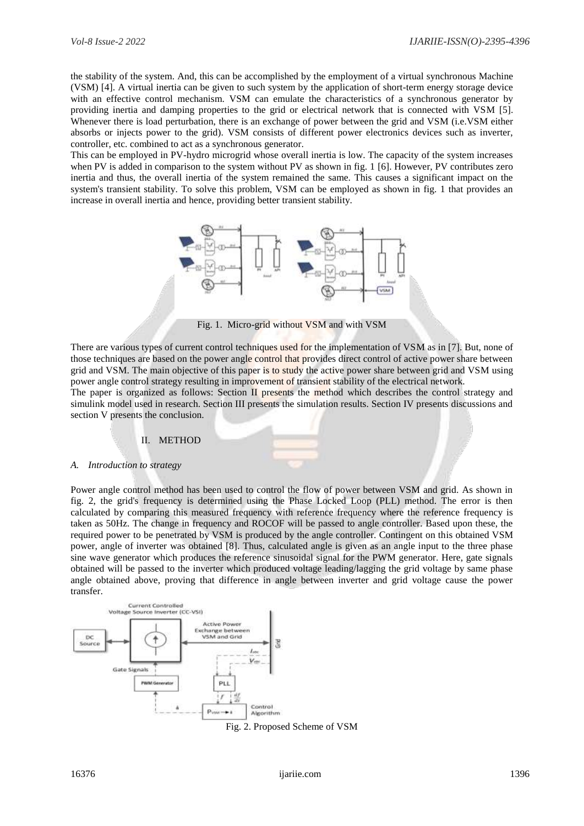the stability of the system. And, this can be accomplished by the employment of a virtual synchronous Machine (VSM) [4]. A virtual inertia can be given to such system by the application of short-term energy storage device with an effective control mechanism. VSM can emulate the characteristics of a synchronous generator by providing inertia and damping properties to the grid or electrical network that is connected with VSM [5]. Whenever there is load perturbation, there is an exchange of power between the grid and VSM (i.e.VSM either absorbs or injects power to the grid). VSM consists of different power electronics devices such as inverter, controller, etc. combined to act as a synchronous generator.

This can be employed in PV-hydro microgrid whose overall inertia is low. The capacity of the system increases when PV is added in comparison to the system without PV as shown in fig. 1 [6]. However, PV contributes zero inertia and thus, the overall inertia of the system remained the same. This causes a significant impact on the system's transient stability. To solve this problem, VSM can be employed as shown in fig. 1 that provides an increase in overall inertia and hence, providing better transient stability.



Fig. 1. Micro-grid without VSM and with VSM

There are various types of current control techniques used for the implementation of VSM as in [7]. But, none of those techniques are based on the power angle control that provides direct control of active power share between grid and VSM. The main objective of this paper is to study the active power share between grid and VSM using power angle control strategy resulting in improvement of transient stability of the electrical network.

The paper is organized as follows: Section II presents the method which describes the control strategy and simulink model used in research. Section III presents the simulation results. Section IV presents discussions and section V presents the conclusion.

#### II. METHOD

## *A. Introduction to strategy*

Power angle control method has been used to control the flow of power between VSM and grid. As shown in fig. 2, the grid's frequency is determined using the Phase Locked Loop (PLL) method. The error is then calculated by comparing this measured frequency with reference frequency where the reference frequency is taken as 50Hz. The change in frequency and ROCOF will be passed to angle controller. Based upon these, the required power to be penetrated by VSM is produced by the angle controller. Contingent on this obtained VSM power, angle of inverter was obtained [8]. Thus, calculated angle is given as an angle input to the three phase sine wave generator which produces the reference sinusoidal signal for the PWM generator. Here, gate signals obtained will be passed to the inverter which produced voltage leading/lagging the grid voltage by same phase angle obtained above, proving that difference in angle between inverter and grid voltage cause the power transfer.



Fig. 2. Proposed Scheme of VSM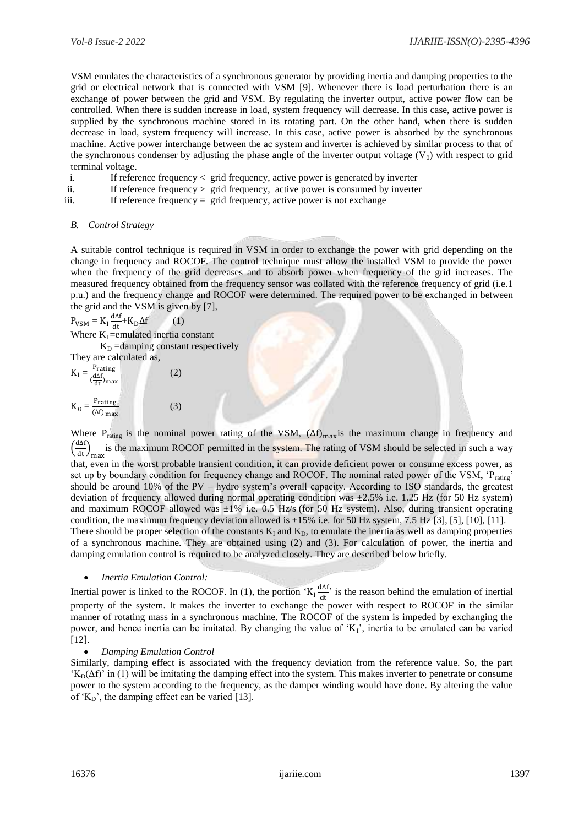VSM emulates the characteristics of a synchronous generator by providing inertia and damping properties to the grid or electrical network that is connected with VSM [9]. Whenever there is load perturbation there is an exchange of power between the grid and VSM. By regulating the inverter output, active power flow can be controlled. When there is sudden increase in load, system frequency will decrease. In this case, active power is supplied by the synchronous machine stored in its rotating part. On the other hand, when there is sudden decrease in load, system frequency will increase. In this case, active power is absorbed by the synchronous machine. Active power interchange between the ac system and inverter is achieved by similar process to that of the synchronous condenser by adjusting the phase angle of the inverter output voltage  $(V_0)$  with respect to grid terminal voltage.

| If reference frequency $\langle$ grid frequency, active power is generated by inverter |  |  |
|----------------------------------------------------------------------------------------|--|--|
|                                                                                        |  |  |

- ii. If reference frequency > grid frequency, active power is consumed by inverter
- iii. If reference frequency = grid frequency, active power is not exchange

#### *B. Control Strategy*

A suitable control technique is required in VSM in order to exchange the power with grid depending on the change in frequency and ROCOF. The control technique must allow the installed VSM to provide the power when the frequency of the grid decreases and to absorb power when frequency of the grid increases. The measured frequency obtained from the frequency sensor was collated with the reference frequency of grid (i.e.1 p.u.) and the frequency change and ROCOF were determined. The required power to be exchanged in between the grid and the VSM is given by [7],

$$
P_{VSM} = K_1 \frac{dA}{dt} + K_D \Delta f
$$
 (1)  
Where K<sub>I</sub> =emulated inertia constant  
K<sub>D</sub> =damping constant respectively

They are calculated as,  
\n
$$
K_{I} = \frac{P_{\text{rating}}}{(\frac{d\Delta f}{dt})_{\text{max}}} \qquad (2)
$$
\n
$$
K_{D} = \frac{P_{\text{rating}}}{(\Delta f)_{\text{max}}} \qquad (3)
$$

Where P<sub>rating</sub> is the nominal power rating of the VSM,  $(\Delta f)_{max}$ is the maximum change in frequency and  $\left(\frac{d\Delta f}{dt}\right)_{\text{max}}$ is the maximum ROCOF permitted in the system. The rating of VSM should be selected in such a way that, even in the worst probable transient condition, it can provide deficient power or consume excess power, as set up by boundary condition for frequency change and ROCOF. The nominal rated power of the VSM, 'Prating' should be around 10% of the PV – hydro system's overall capacity. According to ISO standards, the greatest deviation of frequency allowed during normal operating condition was ±2.5% i.e. 1.25 Hz (for 50 Hz system) and maximum ROCOF allowed was  $\pm 1\%$  i.e. 0.5 Hz/s (for 50 Hz system). Also, during transient operating condition, the maximum frequency deviation allowed is  $\pm 15\%$  i.e. for 50 Hz system, 7.5 Hz [3], [5], [10], [11]. There should be proper selection of the constants  $K_I$  and  $K_D$ , to emulate the inertia as well as damping properties of a synchronous machine. They are obtained using (2) and (3). For calculation of power, the inertia and damping emulation control is required to be analyzed closely. They are described below briefly.

#### *Inertia Emulation Control:*

Inertial power is linked to the ROCOF. In (1), the portion 'K<sub>I</sub>  $\frac{d\Delta f}{dt}$  $\frac{d\mathbf{d} \cdot \mathbf{d}}{d\mathbf{t}}$  is the reason behind the emulation of inertial property of the system. It makes the inverter to exchange the power with respect to ROCOF in the similar manner of rotating mass in a synchronous machine. The ROCOF of the system is impeded by exchanging the power, and hence inertia can be imitated. By changing the value of 'KI', inertia to be emulated can be varied [12].

#### *Damping Emulation Control*

Similarly, damping effect is associated with the frequency deviation from the reference value. So, the part  $K_D(\Delta f)$  in (1) will be imitating the damping effect into the system. This makes inverter to penetrate or consume power to the system according to the frequency, as the damper winding would have done. By altering the value of ' $K_D$ ', the damping effect can be varied [13].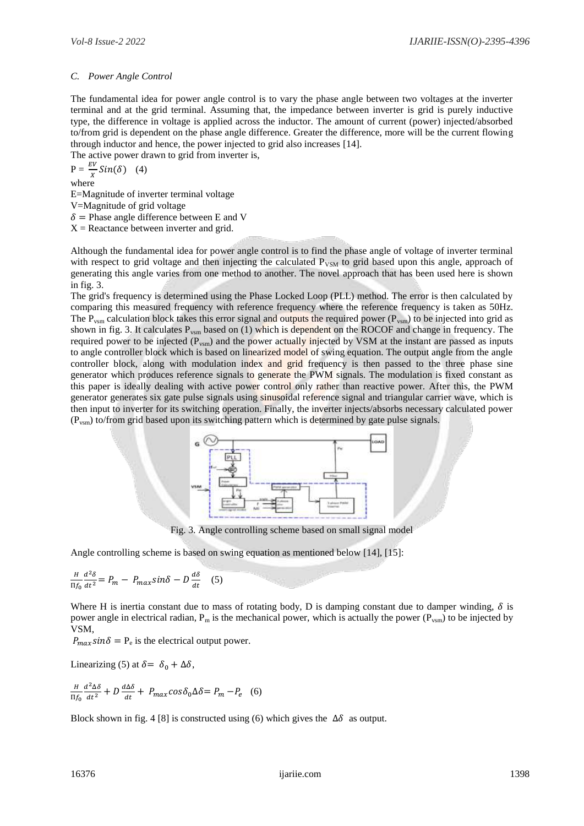## *C. Power Angle Control*

The fundamental idea for power angle control is to vary the phase angle between two voltages at the inverter terminal and at the grid terminal. Assuming that, the impedance between inverter is grid is purely inductive type, the difference in voltage is applied across the inductor. The amount of current (power) injected/absorbed to/from grid is dependent on the phase angle difference. Greater the difference, more will be the current flowing through inductor and hence, the power injected to grid also increases [14].

The active power drawn to grid from inverter is,

$$
P = \frac{EV}{x}Sin(\delta)
$$
 (4)

 $x$  where

E=Magnitude of inverter terminal voltage

V=Magnitude of grid voltage

 $\delta$  = Phase angle difference between E and V

 $X =$  Reactance between inverter and grid.

Although the fundamental idea for power angle control is to find the phase angle of voltage of inverter terminal with respect to grid voltage and then injecting the calculated P<sub>VSM</sub> to grid based upon this angle, approach of generating this angle varies from one method to another. The novel approach that has been used here is shown in fig. 3.

The grid's frequency is determined using the Phase Locked Loop (PLL) method. The error is then calculated by comparing this measured frequency with reference frequency where the reference frequency is taken as 50Hz. The P<sub>vsm</sub> calculation block takes this error signal and outputs the required power (P<sub>vsm</sub>) to be injected into grid as shown in fig. 3. It calculates  $P_{vsm}$  based on (1) which is dependent on the ROCOF and change in frequency. The required power to be injected (P<sub>vsm</sub>) and the power actually injected by VSM at the instant are passed as inputs to angle controller block which is based on linearized model of swing equation. The output angle from the angle controller block, along with modulation index and grid frequency is then passed to the three phase sine generator which produces reference signals to generate the PWM signals. The modulation is fixed constant as this paper is ideally dealing with active power control only rather than reactive power. After this, the PWM generator generates six gate pulse signals using sinusoidal reference signal and triangular carrier wave, which is then input to inverter for its switching operation. Finally, the inverter injects/absorbs necessary calculated power (Pvsm) to/from grid based upon its switching pattern which is determined by gate pulse signals.



Fig. 3. Angle controlling scheme based on small signal model

Angle controlling scheme is based on swing equation as mentioned below [14], [15]:

$$
\frac{H}{\Pi f_0} \frac{d^2 \delta}{dt^2} = P_m - P_{max} sin \delta - D \frac{d \delta}{dt} \quad (5)
$$

Where H is inertia constant due to mass of rotating body, D is damping constant due to damper winding,  $\delta$  is power angle in electrical radian,  $P_m$  is the mechanical power, which is actually the power ( $P_{vsm}$ ) to be injected by VSM,

 $P_{max} sin\delta = P_e$  is the electrical output power.

Linearizing (5) at  $\delta = \delta_0 + \Delta \delta$ ,

$$
\frac{H}{\Pi f_0} \frac{d^2 \Delta \delta}{dt^2} + D \frac{d \Delta \delta}{dt} + P_{max} \cos \delta_0 \Delta \delta = P_m - P_e \quad (6)
$$

Block shown in fig. 4 [8] is constructed using (6) which gives the  $\Delta\delta$  as output.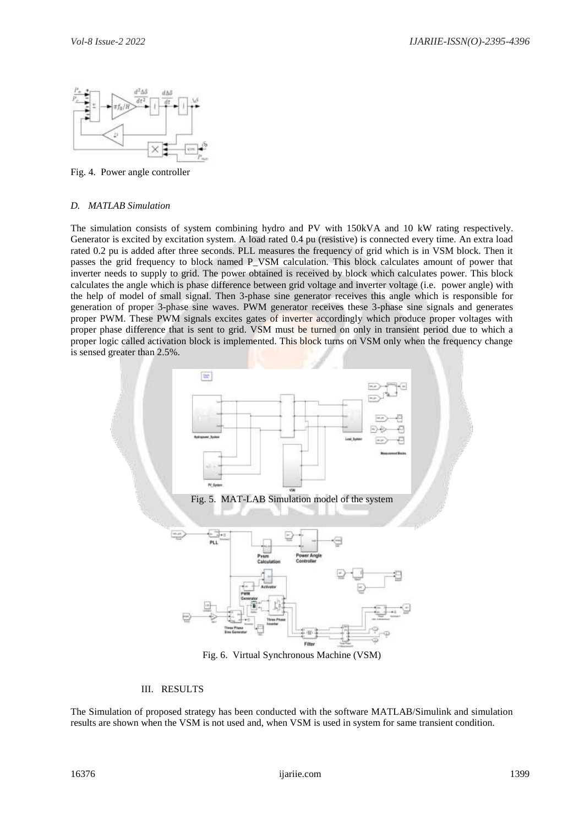

Fig. 4. Power angle controller

## *D. MATLAB Simulation*

The simulation consists of system combining hydro and PV with 150kVA and 10 kW rating respectively. Generator is excited by excitation system. A load rated 0.4 pu (resistive) is connected every time. An extra load rated 0.2 pu is added after three seconds. PLL measures the frequency of grid which is in VSM block. Then it passes the grid frequency to block named P\_VSM calculation. This block calculates amount of power that inverter needs to supply to grid. The power obtained is received by block which calculates power. This block calculates the angle which is phase difference between grid voltage and inverter voltage (i.e. power angle) with the help of model of small signal. Then 3-phase sine generator receives this angle which is responsible for generation of proper 3-phase sine waves. PWM generator receives these 3-phase sine signals and generates proper PWM. These PWM signals excites gates of inverter accordingly which produce proper voltages with proper phase difference that is sent to grid. VSM must be turned on only in transient period due to which a proper logic called activation block is implemented. This block turns on VSM only when the frequency change is sensed greater than 2.5%.



Fig. 6. Virtual Synchronous Machine (VSM)

# III. RESULTS

The Simulation of proposed strategy has been conducted with the software MATLAB/Simulink and simulation results are shown when the VSM is not used and, when VSM is used in system for same transient condition.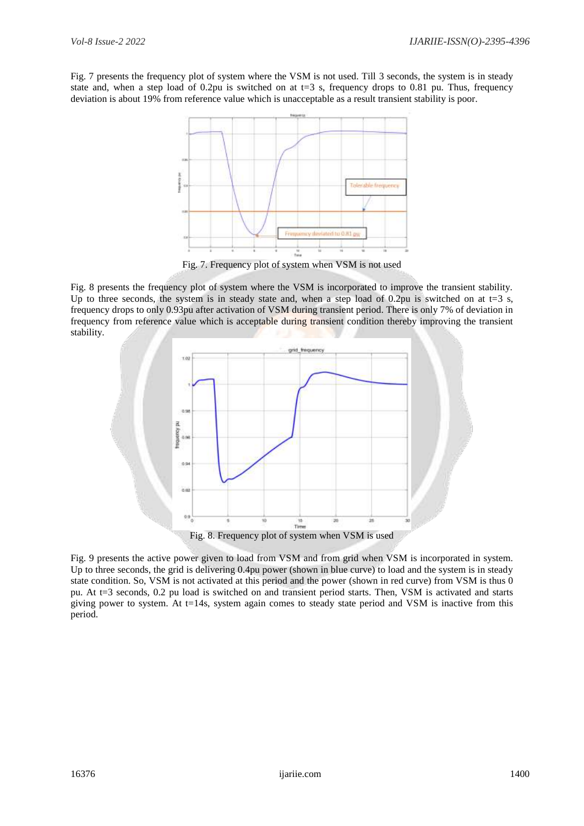Fig. 7 presents the frequency plot of system where the VSM is not used. Till 3 seconds, the system is in steady state and, when a step load of 0.2pu is switched on at  $t=3$  s, frequency drops to 0.81 pu. Thus, frequency deviation is about 19% from reference value which is unacceptable as a result transient stability is poor.



Fig. 7. Frequency plot of system when VSM is not used

Fig. 8 presents the frequency plot of system where the VSM is incorporated to improve the transient stability. Up to three seconds, the system is in steady state and, when a step load of 0.2pu is switched on at t=3 s, frequency drops to only 0.93pu after activation of VSM during transient period. There is only 7% of deviation in frequency from reference value which is acceptable during transient condition thereby improving the transient stability.



Fig. 9 presents the active power given to load from VSM and from grid when VSM is incorporated in system. Up to three seconds, the grid is delivering 0.4pu power (shown in blue curve) to load and the system is in steady state condition. So, VSM is not activated at this period and the power (shown in red curve) from VSM is thus 0 pu. At t=3 seconds, 0.2 pu load is switched on and transient period starts. Then, VSM is activated and starts giving power to system. At  $t=14s$ , system again comes to steady state period and VSM is inactive from this period.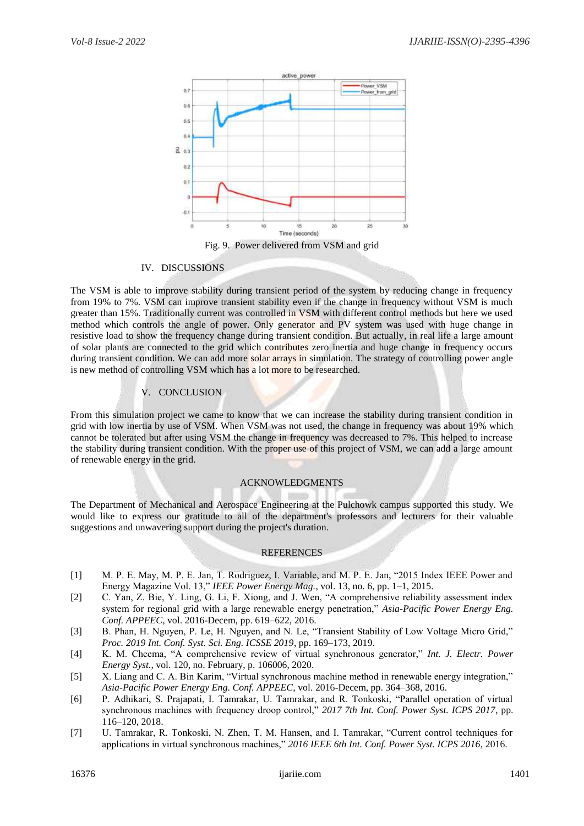

#### IV. DISCUSSIONS

The VSM is able to improve stability during transient period of the system by reducing change in frequency from 19% to 7%. VSM can improve transient stability even if the change in frequency without VSM is much greater than 15%. Traditionally current was controlled in VSM with different control methods but here we used method which controls the angle of power. Only generator and PV system was used with huge change in resistive load to show the frequency change during transient condition. But actually, in real life a large amount of solar plants are connected to the grid which contributes zero inertia and huge change in frequency occurs during transient condition. We can add more solar arrays in simulation. The strategy of controlling power angle is new method of controlling VSM which has a lot more to be researched.

# V. CONCLUSION

From this simulation project we came to know that we can increase the stability during transient condition in grid with low inertia by use of VSM. When VSM was not used, the change in frequency was about 19% which cannot be tolerated but after using VSM the change in frequency was decreased to 7%. This helped to increase the stability during transient condition. With the proper use of this project of VSM, we can add a large amount of renewable energy in the grid.

## ACKNOWLEDGMENTS

The Department of Mechanical and Aerospace Engineering at the Pulchowk campus supported this study. We would like to express our gratitude to all of the department's professors and lecturers for their valuable suggestions and unwavering support during the project's duration.

# **REFERENCES**

- [1] M. P. E. May, M. P. E. Jan, T. Rodriguez, I. Variable, and M. P. E. Jan, "2015 Index IEEE Power and Energy Magazine Vol. 13," *IEEE Power Energy Mag.*, vol. 13, no. 6, pp. 1–1, 2015.
- [2] C. Yan, Z. Bie, Y. Ling, G. Li, F. Xiong, and J. Wen, "A comprehensive reliability assessment index system for regional grid with a large renewable energy penetration," *Asia-Pacific Power Energy Eng. Conf. APPEEC*, vol. 2016-Decem, pp. 619–622, 2016.
- [3] B. Phan, H. Nguyen, P. Le, H. Nguyen, and N. Le, "Transient Stability of Low Voltage Micro Grid," *Proc. 2019 Int. Conf. Syst. Sci. Eng. ICSSE 2019*, pp. 169–173, 2019.
- [4] K. M. Cheema, "A comprehensive review of virtual synchronous generator," *Int. J. Electr. Power Energy Syst.*, vol. 120, no. February, p. 106006, 2020.
- [5] X. Liang and C. A. Bin Karim, "Virtual synchronous machine method in renewable energy integration," *Asia-Pacific Power Energy Eng. Conf. APPEEC*, vol. 2016-Decem, pp. 364–368, 2016.
- [6] P. Adhikari, S. Prajapati, I. Tamrakar, U. Tamrakar, and R. Tonkoski, "Parallel operation of virtual synchronous machines with frequency droop control," *2017 7th Int. Conf. Power Syst. ICPS 2017*, pp. 116–120, 2018.
- [7] U. Tamrakar, R. Tonkoski, N. Zhen, T. M. Hansen, and I. Tamrakar, "Current control techniques for applications in virtual synchronous machines," *2016 IEEE 6th Int. Conf. Power Syst. ICPS 2016*, 2016.